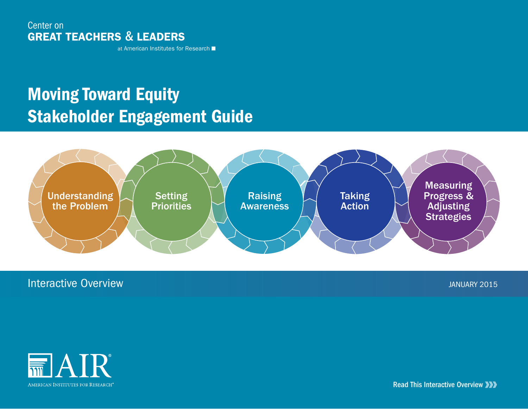## Center on GREAT TEACHERS & LEADERS

at American Institutes for Research

# Moving Toward Equity Stakeholder Engagement Guide



## **Interactive Overview JANUARY 2015**



Read This Interactive Overview **XXX**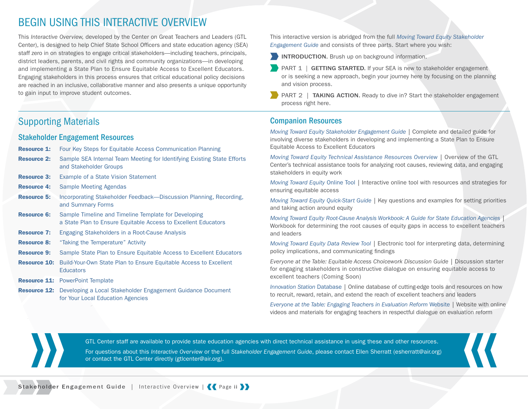## BEGIN USING THIS INTERACTIVE OVERVIEW

This *Interactive Overview,* developed by the Center on Great Teachers and Leaders (GTL Center), is designed to help Chief State School Officers and state education agency (SEA) staff zero in on strategies to engage critical stakeholders—including teachers, principals, district leaders, parents, and civil rights and community organizations—in developing and implementing a State Plan to Ensure Equitable Access to Excellent Educators. Engaging stakeholders in this process ensures that critical educational policy decisions are reached in an inclusive, collaborative manner and also presents a unique opportunity to gain input to improve student outcomes.

## Supporting Materials

### Stakeholder Engagement Resources

| <b>Resource 1:</b>  | Four Key Steps for Equitable Access Communication Planning                                                             |
|---------------------|------------------------------------------------------------------------------------------------------------------------|
| <b>Resource 2:</b>  | Sample SEA Internal Team Meeting for Identifying Existing State Efforts<br>and Stakeholder Groups                      |
| <b>Resource 3:</b>  | Example of a State Vision Statement                                                                                    |
| <b>Resource 4:</b>  | <b>Sample Meeting Agendas</b>                                                                                          |
| <b>Resource 5:</b>  | Incorporating Stakeholder Feedback-Discussion Planning, Recording,<br>and Summary Forms                                |
| <b>Resource 6:</b>  | Sample Timeline and Timeline Template for Developing<br>a State Plan to Ensure Equitable Access to Excellent Educators |
| <b>Resource 7:</b>  | Engaging Stakeholders in a Root-Cause Analysis                                                                         |
| <b>Resource 8:</b>  | "Taking the Temperature" Activity                                                                                      |
| <b>Resource 9:</b>  | Sample State Plan to Ensure Equitable Access to Excellent Educators                                                    |
| <b>Resource 10:</b> | Build-Your-Own State Plan to Ensure Equitable Access to Excellent<br><b>Educators</b>                                  |
|                     | <b>Resource 11: PowerPoint Template</b>                                                                                |
|                     | <b>Resource 12:</b> Developing a Local Stakeholder Engagement Guidance Document                                        |

[for Your Local Education Agencies](http://www.gtlcenter.org/resource_12)

This interactive version is abridged from the full *[Moving Toward Equity Stakeholder](http://www.gtlcenter.org/sites/default/files/GTL_Moving_Toward_Equity.pdf)  [Engagement Guide](http://www.gtlcenter.org/sites/default/files/GTL_Moving_Toward_Equity.pdf)* and consists of three parts. Start where you wish:

**INTRODUCTION.** Brush up on background information.

- PART 1 | GETTING STARTED. If your SEA is new to stakeholder engagement or is seeking a new approach, begin your journey here by focusing on the planning and vision process.
- PART 2 | TAKING ACTION. Ready to dive in? Start the stakeholder engagement process right here.

### Companion Resources

*[Moving Toward Equity Stakeholder Engagement Guide](http://www.gtlcenter.org/sites/default/files/GTL_Moving_Toward_Equity.pdf) |* Complete and detailed guide for involving diverse stakeholders in developing and implementing a State Plan to Ensure Equitable Access to Excellent Educators

*[Moving Toward Equity Technical Assistance Resources Overview](http://www.gtlcenter.org/TA_resources_overview) |* Overview of the GTL Center's technical assistance tools for analyzing root causes, reviewing data, and engaging stakeholders in equity work

*[Moving Toward Equity](http://www.gtlcenter.org/learning-hub/moving-toward-equity)* Online Tool *|* Interactive online tool with resources and strategies for ensuring equitable access

*[Moving Toward Equity Quick-Start Guide](http://www.gtlcenter.org/sites/default/files/docs/Quick_Start_Guide.pdf) |* Key questions and examples for setting priorities and taking action around equity

*[Moving Toward Equity Root-Cause Analysis Workbook: A Guide for State Education Agencies](http://www.gtlcenter.org/root_cause_analysis) |*  Workbook for determining the root causes of equity gaps in access to excellent teachers and leaders

*[Moving Toward Equity Data Review Tool](http://www.gtlcenter.org/data_review_tool) |* Electronic tool for interpreting data, determining policy implications, and communicating findings

*Everyone at the Table: Equitable Access Choicework Discussion Guide* | Discussion starter for engaging stakeholders in constructive dialogue on ensuring equitable access to excellent teachers (Coming Soon)

*[Innovation Station](http://www.gtlcenter.org/learning-hub/innovation-station)* Database *|* Online database of cutting-edge tools and resources on how to recruit, reward, retain, and extend the reach of excellent teachers and leaders

*[Everyone at the Table: Engaging Teachers in Evaluation Reform](http://www.everyoneatthetable.org)* Website *|* Website with online videos and materials for engaging teachers in respectful dialogue on evaluation reform

GTL Center staff are available to provide state education agencies with direct technical assistance in using these and other resources. For questions about this *Interactive Overview* or the full *Stakeholder Engagement Guide*, please contact Ellen Sherratt ([esherratt@air.org\)](mailto:esherratt@air.org) or contact the GTL Center directly [\(gtlcenter@air.org](mailto:gtlcenter%40air.org?subject=)).

Stakeholder Engagement Guide | Interactive Overview | (Page ii) }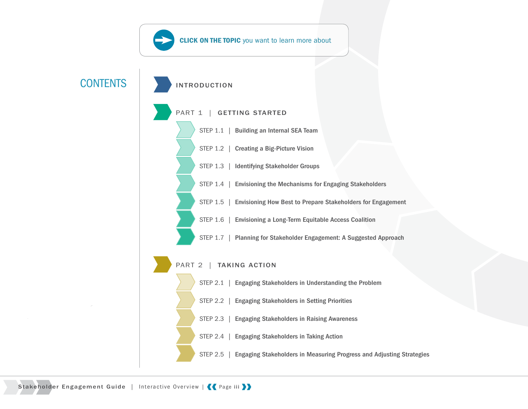<span id="page-2-0"></span>

Stakeholder Engagement Guide | Interactive Overview | < Page iii >>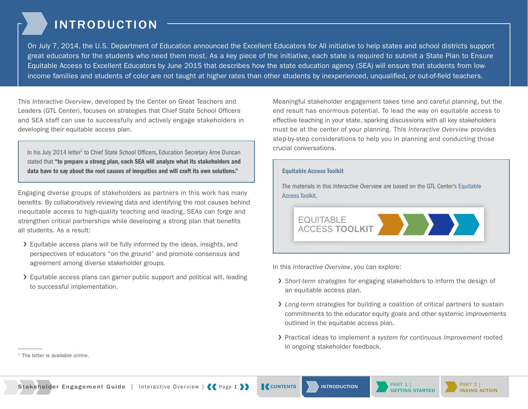## INTRODUCTION

<span id="page-3-0"></span>On July 7, 2014, the U.S. Department of Education announced the Excellent Educators for All initiative to help states and school districts support great educators for the students who need them most. As a key piece of the initiative, each state is required to submit a State Plan to Ensure Equitable Access to Excellent Educators by June 2015 that describes how the state education agency (SEA) will ensure that students from lowincome families and students of color are not taught at higher rates than other students by inexperienced, unqualified, or out-of-field teachers.

This *Interactive Overview*, developed by the Center on Great Teachers and Leaders (GTL Center), focuses on strategies that Chief State School Officers and SEA staff can use to successfully and actively engage stakeholders in developing their equitable access plan.

In his July 2014 letter<sup>1</sup> to Chief State School Officers, Education Secretary Arne Duncan stated that "to prepare a strong plan, each SEA will analyze what its stakeholders and data have to say about the root causes of inequities and will craft its own solutions."

Engaging diverse groups of stakeholders as partners in this work has many benefits. By collaboratively reviewing data and identifying the root causes behind inequitable access to high-quality teaching and leading, SEAs can forge and strengthen critical partnerships while developing a strong plan that benefits all students. As a result:

- ❯ Equitable access plans will be fully informed by the ideas, insights, and perspectives of educators "on the ground" and promote consensus and agreement among diverse stakeholder groups.
- ❯ Equitable access plans can garner public support and political will, leading to successful implementation.

Meaningful stakeholder engagement takes time and careful planning, but the end result has enormous potential. To lead the way on equitable access to effective teaching in your state, sparking discussions with all key stakeholders must be at the center of your planning. This *Interactive Overview* provides step-by-step considerations to help you in planning and conducting those crucial conversations.

#### Equitable Access Toolkit

The materials in this *Interactive Overview* are based on the GTL Center's [Equitable](http://www.gtlcenter.org/learning-hub/equitable-access-toolkit/)  [Access Toolkit.](http://www.gtlcenter.org/learning-hub/equitable-access-toolkit/)



In this *Interactive Overview*, you can explore:

- ❯ *Short-term strategies* for engaging stakeholders to inform the design of an equitable access plan.
- ❯ *Long-term strategies* for building a coalition of critical partners to sustain commitments to the educator equity goals and other systemic improvements outlined in the equitable access plan.
- ❯ Practical ideas to implement a *system for continuous improvement* rooted in ongoing stakeholder feedback.





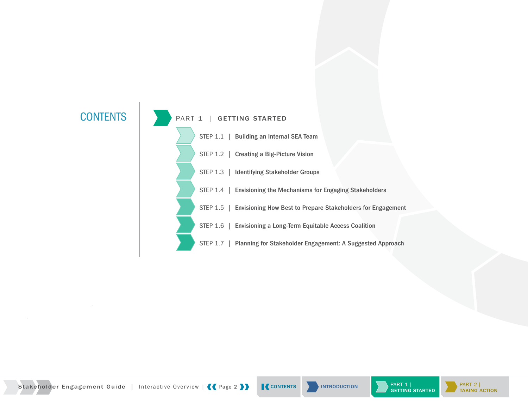





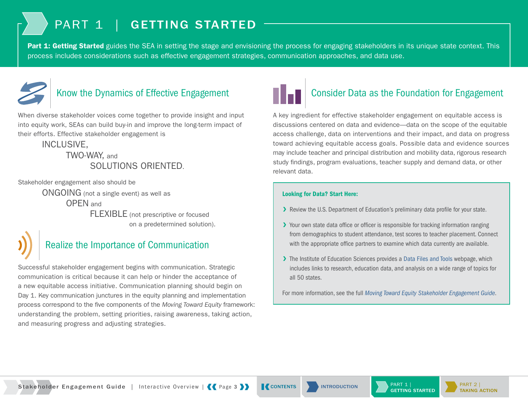## PART 1 | GETTING STARTED

<span id="page-5-0"></span>Part 1: Getting Started guides the SEA in setting the stage and envisioning the process for engaging stakeholders in its unique state context. This process includes considerations such as effective engagement strategies, communication approaches, and data use.



## Know the Dynamics of Effective Engagement

When diverse stakeholder voices come together to provide insight and input into equity work, SEAs can build buy-in and improve the long-term impact of their efforts. Effective stakeholder engagement is

### INCLUSIVE, TWO-WAY, and SOLUTIONS ORIENTED.

Stakeholder engagement also should be

ONGOING (not a single event) as well as OPEN and FLEXIBLE (not prescriptive or focused on a predetermined solution).

## Realize the Importance of Communication

Successful stakeholder engagement begins with communication. Strategic communication is critical because it can help or hinder the acceptance of a new equitable access initiative. Communication planning should begin on Day 1. Key communication junctures in the equity planning and implementation process correspond to the five components of the *Moving Toward Equity* framework: understanding the problem, setting priorities, raising awareness, taking action, and measuring progress and adjusting strategies.



## Consider Data as the Foundation for Engagement

A key ingredient for effective stakeholder engagement on equitable access is discussions centered on data and evidence—data on the scope of the equitable access challenge, data on interventions and their impact, and data on progress toward achieving equitable access goals. Possible data and evidence sources may include teacher and principal distribution and mobility data, rigorous research study findings, program evaluations, teacher supply and demand data, or other relevant data.

### Looking for Data? Start Here:

- ▶ Review the U.S. Department of Education's preliminary data profile for your state.
- ▶ Your own state data office or officer is responsible for tracking information ranging from demographics to student attendance, test scores to teacher placement. Connect with the appropriate office partners to examine which data currently are available.
- ▶ The Institute of Education Sciences provides a [Data Files and Tools](http://ies.ed.gov/data.asp) webpage, which includes links to research, education data, and analysis on a wide range of topics for all 50 states.

For more information, see the full *[Moving Toward Equity Stakeholder Engagement Guide](http://www.gtlcenter.org/sites/default/files/GTL_Moving_Toward_Equity.pdf)*.



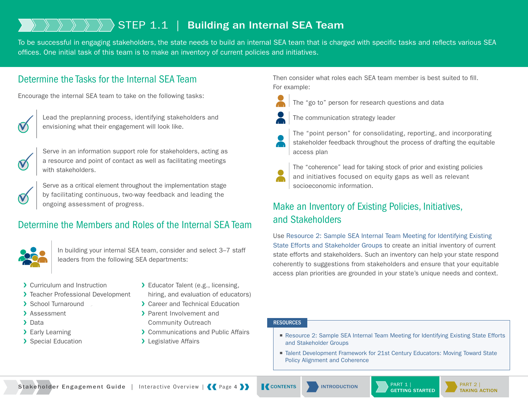## <span id="page-6-0"></span>STEP 1.1 | Building an Internal SEA Team

To be successful in engaging stakeholders, the state needs to build an internal SEA team that is charged with specific tasks and reflects various SEA offices. One initial task of this team is to make an inventory of current policies and initiatives.

### Determine the Tasks for the Internal SEA Team

Encourage the internal SEA team to take on the following tasks:



Lead the preplanning process, identifying stakeholders and envisioning what their engagement will look like.



Serve in an information support role for stakeholders, acting as a resource and point of contact as well as facilitating meetings with stakeholders.

Serve as a critical element throughout the implementation stage by facilitating continuous, two-way feedback and leading the ongoing assessment of progress.

## Determine the Members and Roles of the Internal SEA Team



In building your internal SEA team, consider and select 3–7 staff leaders from the following SEA departments:

- > Curriculum and Instruction
- > Teacher Professional Development
- ❯ School Turnaround
- > Assessment
- > Data
- > Early Learning
- > Special Education
- > Educator Talent (e.g., licensing, hiring, and evaluation of educators)
- ❯ Career and Technical Education
- > Parent Involvement and
- Community Outreach
- **▶ Communications and Public Affairs**
- > Legislative Affairs

Then consider what roles each SEA team member is best suited to fill. For example:



The "go to" person for research questions and data



The communication strategy leader

The "point person" for consolidating, reporting, and incorporating stakeholder feedback throughout the process of drafting the equitable access plan



The "coherence" lead for taking stock of prior and existing policies and initiatives focused on equity gaps as well as relevant socioeconomic information.

## Make an Inventory of Existing Policies, Initiatives, and Stakeholders

Use [Resource 2: Sample SEA Internal Team Meeting for Identifying Existing](http://www.gtlcenter.org/resource_2)  [State Efforts and Stakeholder Groups](http://www.gtlcenter.org/resource_2) to create an initial inventory of current state efforts and stakeholders. Such an inventory can help your state respond coherently to suggestions from stakeholders and ensure that your equitable access plan priorities are grounded in your state's unique needs and context.

#### **RESOURCES**

- Resource 2: Sample SEA Internal Team Meeting for Identifying Existing State Efforts [and Stakeholder Groups](http://www.gtlcenter.org/resource_2)
- Talent Development Framework for 21st Century Educators: Moving Toward State [Policy Alignment and Coherence](http://www.gtlcenter.org/talent_development_framework)

Stakeholder Engagement Guide | Interactive Overview | | Page 4 | | | [CONTENTS](#page-2-0) | | INTRODUCTION | PART 1 |



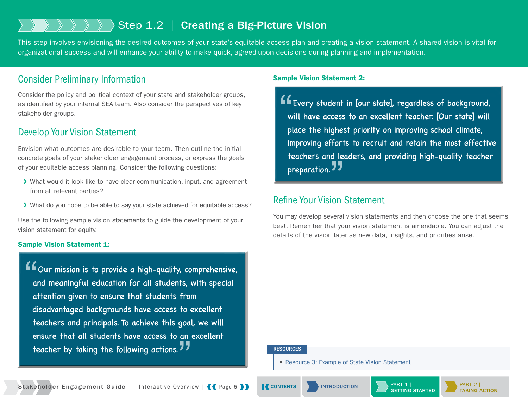## <span id="page-7-0"></span>Step 1.2 | Creating a Big-Picture Vision

This step involves envisioning the desired outcomes of your state's equitable access plan and creating a vision statement. A shared vision is vital for organizational success and will enhance your ability to make quick, agreed-upon decisions during planning and implementation.

### Consider Preliminary Information

Consider the policy and political context of your state and stakeholder groups, as identified by your internal SEA team. Also consider the perspectives of key stakeholder groups.

### Develop Your Vision Statement

Envision what outcomes are desirable to your team. Then outline the initial concrete goals of your stakeholder engagement process, or express the goals of your equitable access planning. Consider the following questions:

- ❯ What would it look like to have clear communication, input, and agreement from all relevant parties?
- ❯ What do you hope to be able to say your state achieved for equitable access?

Use the following sample vision statements to guide the development of your vision statement for equity.

#### Sample Vision Statement 1:

 $\begin{array}{c}\n66 \\
a \\
a\n\end{array}$ Our mission is to provide a high-quality, comprehensive, and meaningful education for all students, with special attention given to ensure that students from disadvantaged backgrounds have access to excellent teachers and principals. To achieve this goal, we will ensure that all students have access to an excellent teacher by taking the following actions. "<br>"<br>"

#### Sample Vision Statement 2:

"<br>"<br>pl Every student in [our state], regardless of background, will have access to an excellent teacher. [Our state] will place the highest priority on improving school climate, improving efforts to recruit and retain the most effective teachers and leaders, and providing high-quality teacher preparation. **""**<br>""

### Refine Your Vision Statement

You may develop several vision statements and then choose the one that seems best. Remember that your vision statement is amendable. You can adjust the details of the vision later as new data, insights, and priorities arise.

#### **RESOURCES**

■ [Resource 3: Example of State Vision Statement](http://www.gtlcenter.org/resource_3)



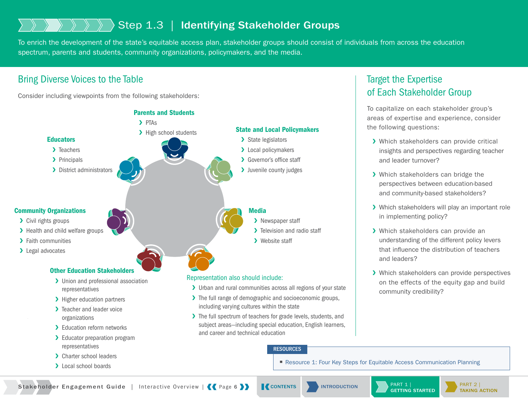## <span id="page-8-0"></span>Step 1.3 | Identifying Stakeholder Groups

To enrich the development of the state's equitable access plan, stakeholder groups should consist of individuals from across the education spectrum, parents and students, community organizations, policymakers, and the media.

## Bring Diverse Voices to the Table

Consider including viewpoints from the following stakeholders:



## Target the Expertise of Each Stakeholder Group

To capitalize on each stakeholder group's areas of expertise and experience, consider the following questions:

- > Which stakeholders can provide critical insights and perspectives regarding teacher and leader turnover?
- > Which stakeholders can bridge the perspectives between education-based and community-based stakeholders?
- > Which stakeholders will play an important role in implementing policy?
- > Which stakeholders can provide an understanding of the different policy levers that influence the distribution of teachers and leaders?
- > Which stakeholders can provide perspectives on the effects of the equity gap and build community credibility?

■ [Resource 1: Four Key Steps for Equitable Access Communication Planning](http://www.gtlcenter.org/resource_1)

Stakeholder Engagement Guide | Interactive Overview | | Page 6 | | | [CONTENTS](#page-2-0) | | INTRODUCTION



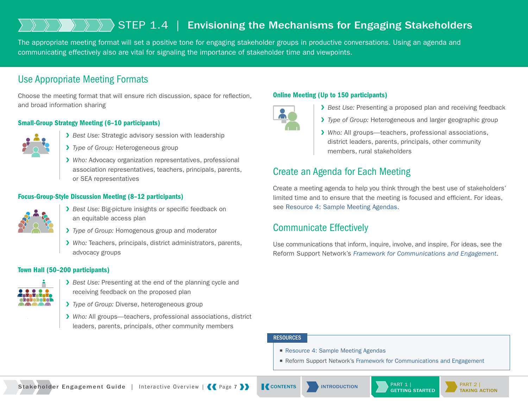## <span id="page-9-0"></span>STEP 1.4 | Envisioning the Mechanisms for Engaging Stakeholders

The appropriate meeting format will set a positive tone for engaging stakeholder groups in productive conversations. Using an agenda and communicating effectively also are vital for signaling the importance of stakeholder time and viewpoints.

### Use Appropriate Meeting Formats

Choose the meeting format that will ensure rich discussion, space for reflection, and broad information sharing

### Small-Group Strategy Meeting (6–10 participants)



- ❯ *Best Use:* Strategic advisory session with leadership
- ❯ *Type of Group:* Heterogeneous group
- ❯ *Who:* Advocacy organization representatives, professional association representatives, teachers, principals, parents, or SEA representatives

### Focus-Group-Style Discussion Meeting (8–12 participants)



- ❯ *Best Use:* Big-picture insights or specific feedback on an equitable access plan
- ❯ *Type of Group:* Homogenous group and moderator
- ❯ *Who:* Teachers, principals, district administrators, parents, advocacy groups

#### Town Hall (50–200 participants)



- ❯ *Best Use:* Presenting at the end of the planning cycle and receiving feedback on the proposed plan
- ❯ *Type of Group:* Diverse, heterogeneous group
- ❯ *Who:* All groups—teachers, professional associations, district leaders, parents, principals, other community members

### Online Meeting (Up to 150 participants)



- ❯ *Best Use:* Presenting a proposed plan and receiving feedback
- ❯ *Type of Group:* Heterogeneous and larger geographic group
- ❯ *Who:* All groups—teachers, professional associations, district leaders, parents, principals, other community members, rural stakeholders

## Create an Agenda for Each Meeting

Create a meeting agenda to help you think through the best use of stakeholders' limited time and to ensure that the meeting is focused and efficient. For ideas, see [Resource 4: Sample Meeting Agendas.](http://www.gtlcenter.org/resource_4)

### Communicate Effectively

Use communications that inform, inquire, involve, and inspire. For ideas, see the Reform Support Network's *[Framework for Communications and Engagement](http://www2.ed.gov/about/inits/ed/implementation-support-unit/tech-assist/framework-communications-engagement.pdf)*.

#### **RESOURCES**

- [Resource 4: Sample Meeting Agendas](http://www.gtlcenter.org/resource_4)
- Reform Support Network's [Framework for Communications and Engagement](http://www2.ed.gov/about/inits/ed/implementation-support-unit/tech-assist/framework-communications-engagement.pdf)

Stakeholder Engagement Guide | Interactive Overview | | Page 7 | | | [CONTENTS](#page-2-0) | INTRODUCTION | PART 1 |



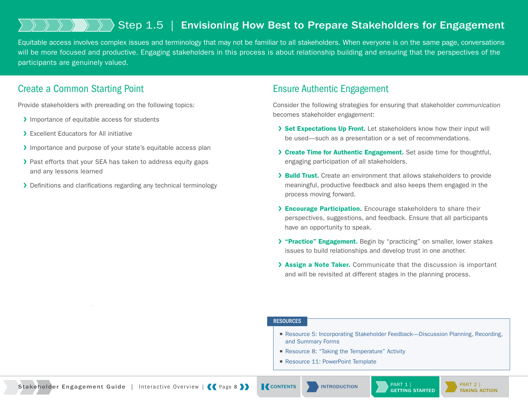## <span id="page-10-0"></span>Step 1.5 | Envisioning How Best to Prepare Stakeholders for Engagement

Equitable access involves complex issues and terminology that may not be familiar to all stakeholders. When everyone is on the same page, conversations will be more focused and productive. Engaging stakeholders in this process is about relationship building and ensuring that the perspectives of the participants are genuinely valued.

### Create a Common Starting Point

Provide stakeholders with prereading on the following topics:

- > Importance of equitable access for students
- ❯ Excellent Educators for All initiative
- > Importance and purpose of your state's equitable access plan
- > Past efforts that your SEA has taken to address equity gaps and any lessons learned
- > Definitions and clarifications regarding any technical terminology

### Ensure Authentic Engagement

Consider the following strategies for ensuring that stakeholder *communication*  becomes stakeholder *engagement*:

- > Set Expectations Up Front. Let stakeholders know how their input will be used—such as a presentation or a set of recommendations.
- > Create Time for Authentic Engagement. Set aside time for thoughtful, engaging participation of all stakeholders.
- > Build Trust. Create an environment that allows stakeholders to provide meaningful, productive feedback and also keeps them engaged in the process moving forward.
- > **Encourage Participation.** Encourage stakeholders to share their perspectives, suggestions, and feedback. Ensure that all participants have an opportunity to speak.
- > "Practice" Engagement. Begin by "practicing" on smaller, lower stakes issues to build relationships and develop trust in one another.
- > Assign a Note Taker. Communicate that the discussion is important and will be revisited at different stages in the planning process.

#### **RESOURCES**

- Resource 5: Incorporating Stakeholder Feedback—Discussion Planning, Recording, [and Summary Forms](http://www.gtlcenter.org/resource_5)
- [Resource 8: "Taking the Temperature" Activity](http://www.gtlcenter.org/resource_8)
- [Resource 11: PowerPoint Template](http://www.gtlcenter.org/resource_11)

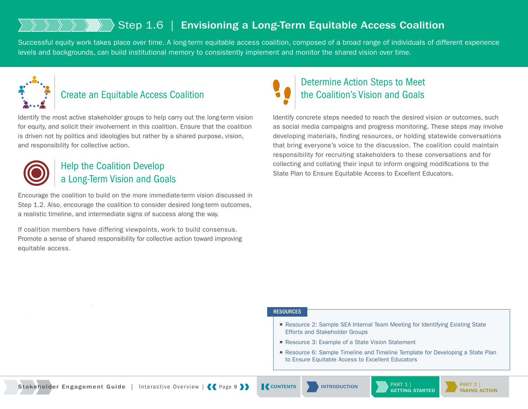## <span id="page-11-0"></span>Step 1.6 | Envisioning a Long-Term Equitable Access Coalition

Successful equity work takes place over time. A long-term equitable access coalition, composed of a broad range of individuals of different experience levels and backgrounds, can build institutional memory to consistently implement and monitor the shared vision over time.



## Create an Equitable Access Coalition

Identify the most active stakeholder groups to help carry out the long-term vision for equity, and solicit their involvement in this coalition. Ensure that the coalition is driven not by politics and ideologies but rather by a shared purpose, vision, and responsibility for collective action.



## Help the Coalition Develop a Long-Term Vision and Goals

Encourage the coalition to build on the more immediate-term vision discussed in Step 1.2. Also, encourage the coalition to consider desired long-term outcomes, a realistic timeline, and intermediate signs of success along the way.

If coalition members have differing viewpoints, work to build consensus. Promote a sense of shared responsibility for collective action toward improving equitable access.

## Determine Action Steps to Meet the Coalition's Vision and Goals

Identify concrete steps needed to reach the desired vision or outcomes, such as social media campaigns and progress monitoring. These steps may involve developing materials, finding resources, or holding statewide conversations that bring everyone's voice to the discussion. The coalition could maintain responsibility for recruiting stakeholders to these conversations and for collecting and collating their input to inform ongoing modifications to the State Plan to Ensure Equitable Access to Excellent Educators.

#### **RESOURCES**

- Resource 2: Sample SEA Internal Team Meeting for Identifying Existing State [Efforts and Stakeholder Groups](http://www.gtlcenter.org/resource_2)
- [Resource 3: Example of a State Vision Statement](http://www.gtlcenter.org/resource_3)
- Resource 6: Sample Timeline and Timeline Template for Developing a State Plan [to Ensure Equitable Access to Excellent Educators](http://www.gtlcenter.org/resource_6)



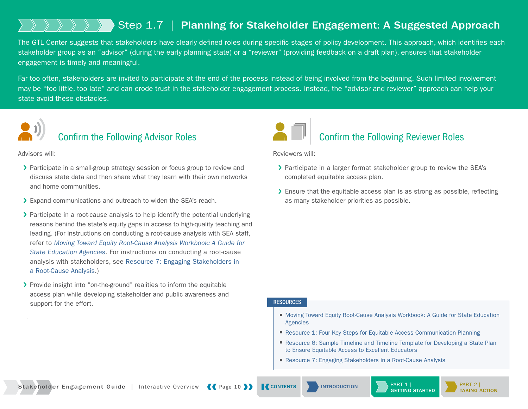## <span id="page-12-0"></span>Step 1.7 | Planning for Stakeholder Engagement: A Suggested Approach

The GTL Center suggests that stakeholders have clearly defined roles during specific stages of policy development. This approach, which identifies each stakeholder group as an "advisor" (during the early planning state) or a "reviewer" (providing feedback on a draft plan), ensures that stakeholder engagement is timely and meaningful.

Far too often, stakeholders are invited to participate at the end of the process instead of being involved from the beginning. Such limited involvement may be "too little, too late" and can erode trust in the stakeholder engagement process. Instead, the "advisor and reviewer" approach can help your state avoid these obstacles.



## Confirm the Following Advisor Roles

Advisors will:

- ▶ Participate in a small-group strategy session or focus group to review and discuss state data and then share what they learn with their own networks and home communities.
- > Expand communications and outreach to widen the SEA's reach.
- ▶ Participate in a root-cause analysis to help identify the potential underlying reasons behind the state's equity gaps in access to high-quality teaching and leading. (For instructions on conducting a root-cause analysis with SEA staff, refer to *[Moving Toward Equity Root-Cause Analysis Workbook: A Guide for](http://www.gtlcenter.org/sites/default/files/GTL_Root-CauseAnalysisWorkbook-ed.docx)  [State Education Agencies](http://www.gtlcenter.org/sites/default/files/GTL_Root-CauseAnalysisWorkbook-ed.docx)*. For instructions on conducting a root-cause analysis with stakeholders, see [Resource 7: Engaging Stakeholders in](http://www.gtlcenter.org/resource_7)  [a Root-Cause Analysis](http://www.gtlcenter.org/resource_7).)
- ▶ Provide insight into "on-the-ground" realities to inform the equitable access plan while developing stakeholder and public awareness and support for the effort.



Reviewers will:

- > Participate in a larger format stakeholder group to review the SEA's completed equitable access plan.
- ▶ Ensure that the equitable access plan is as strong as possible, reflecting as many stakeholder priorities as possible.

#### **RESOURCES**

- Moving Toward Equity Root-Cause Analysis Workbook: A Guide for State Education [Agencies](http://www.gtlcenter.org/sites/default/files/GTL_Root-CauseAnalysisWorkbook-ed.docx)
- [Resource 1: Four Key Steps for Equitable Access Communication Planning](http://www.gtlcenter.org/resource_1)
- Resource 6: Sample Timeline and Timeline Template for Developing a State Plan [to Ensure Equitable Access to Excellent Educators](http://www.gtlcenter.org/resource_6)
- [Resource 7: Engaging Stakeholders in a Root-Cause Analysis](http://www.gtlcenter.org/resource_7)

Stakeholder Engagement Guide | Interactive Overview | | Page 10 | | [CONTENTS](#page-2-0) | INTRODUCTION | PART 1



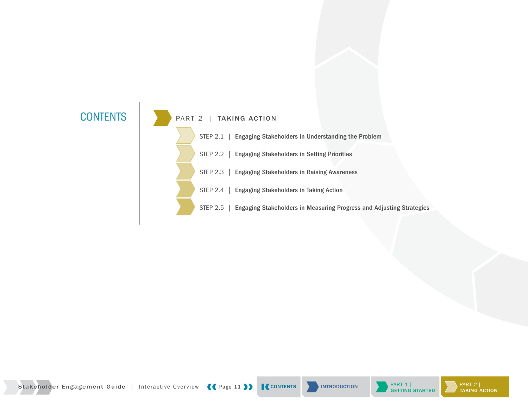





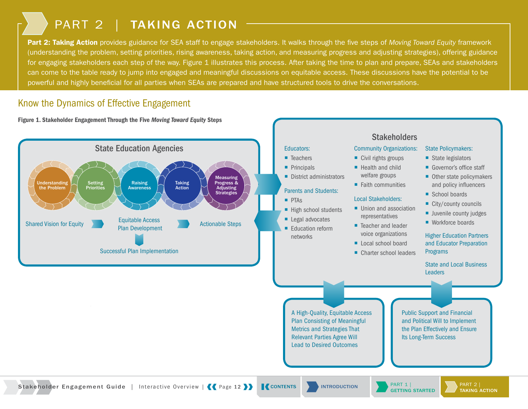## PART 2 | TAKING ACTION

<span id="page-14-0"></span>Part 2: Taking Action provides guidance for SEA staff to engage stakeholders. It walks through the five steps of *Moving Toward Equity* framework (understanding the problem, setting priorities, rising awareness, taking action, and measuring progress and adjusting strategies), offering guidance for engaging stakeholders each step of the way. Figure 1 illustrates this process. After taking the time to plan and prepare, SEAs and stakeholders can come to the table ready to jump into engaged and meaningful discussions on equitable access. These discussions have the potential to be powerful and highly beneficial for all parties when SEAs are prepared and have structured tools to drive the conversations.

### Know the Dynamics of Effective Engagement

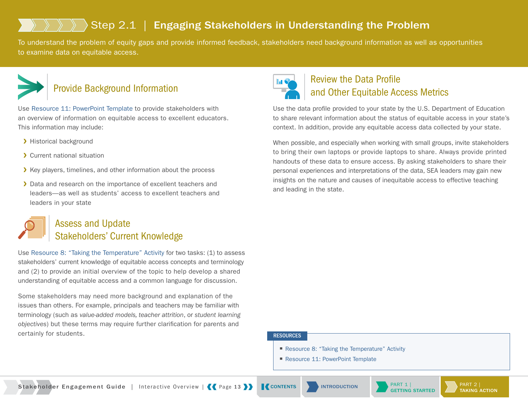## <span id="page-15-0"></span>Step 2.1 | Engaging Stakeholders in Understanding the Problem

To understand the problem of equity gaps and provide informed feedback, stakeholders need background information as well as opportunities to examine data on equitable access.



## Provide Background Information

Use [Resource 11: PowerPoint Template](http://www.gtlcenter.org/resource_11) to provide stakeholders with an overview of information on equitable access to excellent educators. This information may include:

- > Historical background
- ❯ Current national situation
- ▶ Key players, timelines, and other information about the process
- > Data and research on the importance of excellent teachers and leaders—as well as students' access to excellent teachers and leaders in your state



## Assess and Update Stakeholders' Current Knowledge

Use [Resource 8: "Taking the Temperature" Activity](http://www.gtlcenter.org/resource_8) for two tasks: (1) to assess stakeholders' current knowledge of equitable access concepts and terminology and (2) to provide an initial overview of the topic to help develop a shared understanding of equitable access and a common language for discussion.

Some stakeholders may need more background and explanation of the issues than others. For example, principals and teachers may be familiar with terminology (such as *value-added models, teacher attrition*, or *student learning objectives*) but these terms may require further clarification for parents and certainly for students.



## Review the Data Profile and Other Equitable Access Metrics

Use the data profile provided to your state by the U.S. Department of Education to share relevant information about the status of equitable access in your state's context. In addition, provide any equitable access data collected by your state.

When possible, and especially when working with small groups, invite stakeholders to bring their own laptops or provide laptops to share. Always provide printed handouts of these data to ensure access. By asking stakeholders to share their personal experiences and interpretations of the data, SEA leaders may gain new insights on the nature and causes of inequitable access to effective teaching and leading in the state.

#### **RESOURCES**

- [Resource 8: "Taking the Temperature" Activity](http://www.gtlcenter.org/resource_8)
- [Resource 11: PowerPoint Template](http://www.gtlcenter.org/resource_11)

Stakeholder Engagement Guide | Interactive Overview | Page 13 >> | [CONTENTS](#page-2-0) | NITRODUCTION | PART 1 |



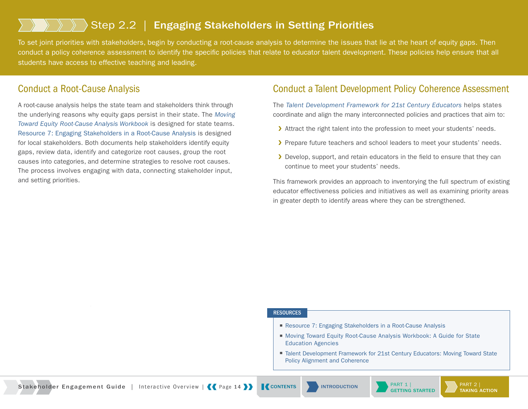## <span id="page-16-0"></span>Step 2.2 | Engaging Stakeholders in Setting Priorities

To set joint priorities with stakeholders, begin by conducting a root-cause analysis to determine the issues that lie at the heart of equity gaps. Then conduct a policy coherence assessment to identify the specific policies that relate to educator talent development. These policies help ensure that all students have access to effective teaching and leading.

### Conduct a Root-Cause Analysis

A root-cause analysis helps the state team and stakeholders think through the underlying reasons why equity gaps persist in their state. The *[Moving](http://www.gtlcenter.org/root_cause_analysis)  [Toward Equity Root-Cause Analysis Workbook](http://www.gtlcenter.org/root_cause_analysis)* is designed for state teams. [Resource 7: Engaging Stakeholders in a Root-Cause Analysis](http://www.gtlcenter.org/resource_7) is designed for local stakeholders. Both documents help stakeholders identify equity gaps, review data, identify and categorize root causes, group the root causes into categories, and determine strategies to resolve root causes. The process involves engaging with data, connecting stakeholder input, and setting priorities.

### Conduct a Talent Development Policy Coherence Assessment

The *[Talent Development Framework for 21st Century Educators](http://www.gtlcenter.org/talent_development_framework)* helps states coordinate and align the many interconnected policies and practices that aim to:

- > Attract the right talent into the profession to meet your students' needs.
- > Prepare future teachers and school leaders to meet your students' needs.
- ▶ Develop, support, and retain educators in the field to ensure that they can continue to meet your students' needs.

This framework provides an approach to inventorying the full spectrum of existing educator effectiveness policies and initiatives as well as examining priority areas in greater depth to identify areas where they can be strengthened.

#### **RESOURCES**

- [Resource 7: Engaging Stakeholders in a Root-Cause Analysis](http://www.gtlcenter.org/resource_7)
- Moving Toward Equity Root-Cause Analysis Workbook: A Guide for State [Education Agencies](http://www.gtlcenter.org/root_cause_analysis)
- Talent Development Framework for 21st Century Educators: Moving Toward State [Policy Alignment and Coherence](http://www.gtlcenter.org/talent_development_framework)

Stakeholder Engagement Guide | Interactive Overview | Page 14 >> | [CONTENTS](#page-2-0) | NITRODUCTION | PART 1 |

[INTRODUCTION](#page-3-0)



PART 2 | [TAKING ACTION](#page-14-0)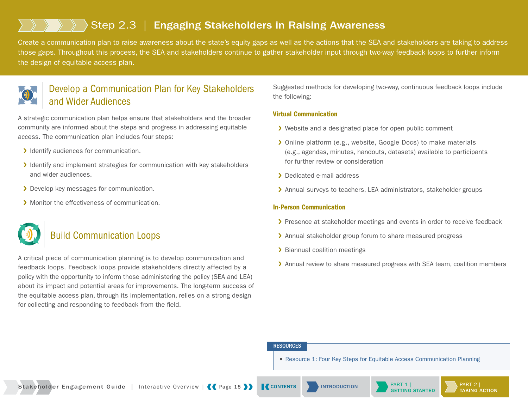## <span id="page-17-0"></span>Step 2.3 | Engaging Stakeholders in Raising Awareness

Create a communication plan to raise awareness about the state's equity gaps as well as the actions that the SEA and stakeholders are taking to address those gaps. Throughout this process, the SEA and stakeholders continue to gather stakeholder input through two-way feedback loops to further inform the design of equitable access plan.



## Develop a Communication Plan for Key Stakeholders and Wider Audiences

A strategic communication plan helps ensure that stakeholders and the broader community are informed about the steps and progress in addressing equitable access. The communication plan includes four steps:

- > Identify audiences for communication.
- ❯ Identify and implement strategies for communication with key stakeholders and wider audiences.
- > Develop key messages for communication.
- > Monitor the effectiveness of communication.

## Build Communication Loops

A critical piece of communication planning is to develop communication and feedback loops. Feedback loops provide stakeholders directly affected by a policy with the opportunity to inform those administering the policy (SEA and LEA) about its impact and potential areas for improvements. The long-term success of the equitable access plan, through its implementation, relies on a strong design for collecting and responding to feedback from the field.

Suggested methods for developing two-way, continuous feedback loops include the following:

#### Virtual Communication

- ▶ Website and a designated place for open public comment
- ❯ Online platform (e.g., website, Google Docs) to make materials (e.g., agendas, minutes, handouts, datasets) available to participants for further review or consideration
- ❯ Dedicated e-mail address
- > Annual surveys to teachers, LEA administrators, stakeholder groups

#### In-Person Communication

- ▶ Presence at stakeholder meetings and events in order to receive feedback
- > Annual stakeholder group forum to share measured progress
- > Biannual coalition meetings
- Annual review to share measured progress with SEA team, coalition members

#### RESOURCES

■ [Resource 1: Four Key Steps for Equitable Access Communication Planning](http://www.gtlcenter.org/resource_1)

Stakeholder Engagement Guide | Interactive Overview | Page 15 > | [CONTENTS](#page-2-0) | NITRODUCTION | PART 1 |



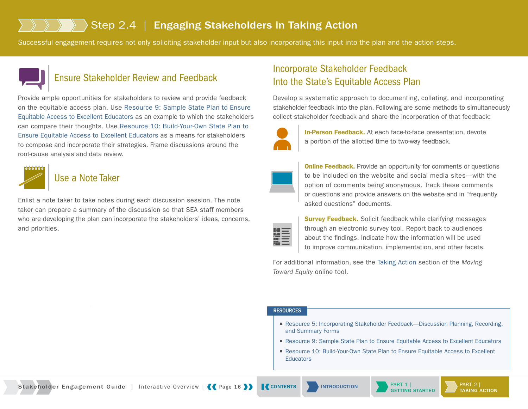## <span id="page-18-0"></span>Step 2.4 | Engaging Stakeholders in Taking Action

Successful engagement requires not only soliciting stakeholder input but also incorporating this input into the plan and the action steps.



### Ensure Stakeholder Review and Feedback

Provide ample opportunities for stakeholders to review and provide feedback on the equitable access plan. Use [Resource 9: Sample State Plan to Ensure](http://www.gtlcenter.org/resource_9)  [Equitable Access to Excellent Educators](http://www.gtlcenter.org/resource_9) as an example to which the stakeholders can compare their thoughts. Use [Resource 10: Build-Your-Own State Plan to](http://www.gtlcenter.org/resource_10)  [Ensure Equitable Access to Excellent Educators](http://www.gtlcenter.org/resource_10) as a means for stakeholders to compose and incorporate their strategies. Frame discussions around the root-cause analysis and data review.



### Use a Note Taker

Enlist a note taker to take notes during each discussion session. The note taker can prepare a summary of the discussion so that SEA staff members who are developing the plan can incorporate the stakeholders' ideas, concerns, and priorities.

## Incorporate Stakeholder Feedback Into the State's Equitable Access Plan

Develop a systematic approach to documenting, collating, and incorporating stakeholder feedback into the plan. Following are some methods to simultaneously collect stakeholder feedback and share the incorporation of that feedback:



**In-Person Feedback.** At each face-to-face presentation, devote a portion of the allotted time to two-way feedback.

**Online Feedback.** Provide an opportunity for comments or questions to be included on the website and social media sites—with the option of comments being anonymous. Track these comments or questions and provide answers on the website and in "frequently asked questions" documents.

**Survey Feedback.** Solicit feedback while clarifying messages through an electronic survey tool. Report back to audiences about the findings. Indicate how the information will be used to improve communication, implementation, and other facets.

For additional information, see the [Taking Action](http://www.gtlcenter.org/learning-hub/equitable-access-toolkit/moving-toward-equity/taking-action) section of the *Moving Toward Equity* online tool.

#### **RESOURCES**

- Resource 5: Incorporating Stakeholder Feedback—Discussion Planning, Recording, [and Summary Forms](http://www.gtlcenter.org/resource_5)
- [Resource 9: Sample State Plan to Ensure Equitable Access to Excellent Educators](http://www.gtlcenter.org/resource_9)
- Resource 10: Build-Your-Own State Plan to Ensure Equitable Access to Excellent **[Educators](http://www.gtlcenter.org/resource_10)**

Stakeholder Engagement Guide | Interactive Overview | Page 16 > | [CONTENTS](#page-2-0) | NITRODUCTION | PART 1 |



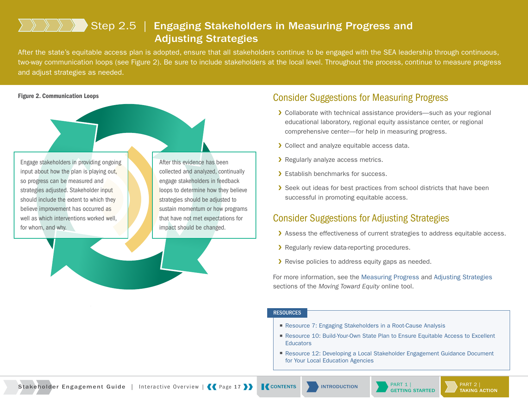## Step 2.5 | Engaging Stakeholders in Measuring Progress and Adjusting Strategies

<span id="page-19-0"></span>After the state's equitable access plan is adopted, ensure that all stakeholders continue to be engaged with the SEA leadership through continuous, two-way communication loops (see Figure 2). Be sure to include stakeholders at the local level. Throughout the process, continue to measure progress and adjust strategies as needed.

Engage stakeholders in providing ongoing input about how the plan is playing out, so progress can be measured and strategies adjusted. Stakeholder input should include the extent to which they believe improvement has occurred as well as which interventions worked well, for whom, and why.

After this evidence has been collected and analyzed, continually engage stakeholders in feedback loops to determine how they believe strategies should be adjusted to sustain momentum or how programs that have not met expectations for impact should be changed.

### Figure 2. Communication Loops Consider Suggestions for Measuring Progress

- ▶ Collaborate with technical assistance providers—such as your regional educational laboratory, regional equity assistance center, or regional comprehensive center—for help in measuring progress.
- ❯ Collect and analyze equitable access data.
- > Regularly analyze access metrics.
- > Establish benchmarks for success.
- **>** Seek out ideas for best practices from school districts that have been successful in promoting equitable access.

### Consider Suggestions for Adjusting Strategies

- > Assess the effectiveness of current strategies to address equitable access.
- > Regularly review data-reporting procedures.
- > Revise policies to address equity gaps as needed.

For more information, see the [Measuring Progress](http://www.gtlcenter.org/learning-hub/equitable-access-toolkit/moving-toward-equity/measuring-progress-and-adjusting-strategies/measuring-progress) and [Adjusting Strategies](http://www.gtlcenter.org/learning-hub/equitable-access-toolkit/moving-toward-equity/measuring-progress-and-adjusting-strategies/adjusting-strategies) sections of the *Moving Toward Equity* online tool.

#### **RESOURCES**

- [Resource 7: Engaging Stakeholders in a Root-Cause Analysis](http://www.gtlcenter.org/resource_7)
- Resource 10: Build-Your-Own State Plan to Ensure Equitable Access to Excellent **[Educators](http://www.gtlcenter.org/resource_10)**
- Resource 12: Developing a Local Stakeholder Engagement Guidance Document [for Your Local Education Agencies](http://www.gtlcenter.org/resource_12)

Stakeholder Engagement Guide | Interactive Overview | Page 17 >> | [CONTENTS](#page-2-0) | NITRODUCTION | PART 1 |